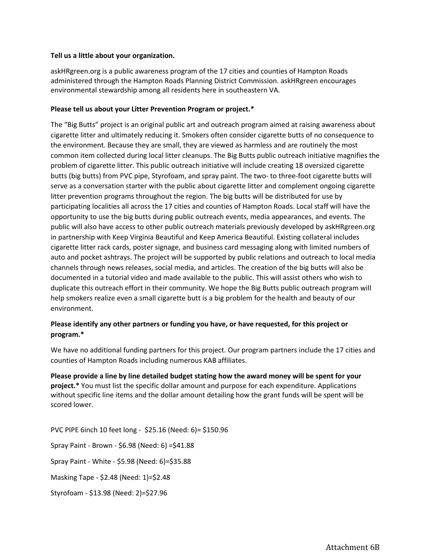## **Tell us a little about your organization.**

askHRgreen.org is a public awareness program of the 17 cities and counties of Hampton Roads administered through the Hampton Roads Planning District Commission. askHRgreen encourages environmental stewardship among all residents here in southeastern VA.

## **Please tell us about your Litter Prevention Program or project.\***

The "Big Butts" project is an original public art and outreach program aimed at raising awareness about cigarette litter and ultimately reducing it. Smokers often consider cigarette butts of no consequence to the environment. Because they are small, they are viewed as harmless and are routinely the most common item collected during local litter cleanups. The Big Butts public outreach initiative magnifies the problem of cigarette litter. This public outreach initiative will include creating 18 oversized cigarette butts (big butts) from PVC pipe, Styrofoam, and spray paint. The two- to three-foot cigarette butts will serve as a conversation starter with the public about cigarette litter and complement ongoing cigarette litter prevention programs throughout the region. The big butts will be distributed for use by participating localities all across the 17 cities and counties of Hampton Roads. Local staff will have the opportunity to use the big butts during public outreach events, media appearances, and events. The public will also have access to other public outreach materials previously developed by askHRgreen.org in partnership with Keep Virginia Beautiful and Keep America Beautiful. Existing collateral includes cigarette litter rack cards, poster signage, and business card messaging along with limited numbers of auto and pocket ashtrays. The project will be supported by public relations and outreach to local media channels through news releases, social media, and articles. The creation of the big butts will also be documented in a tutorial video and made available to the public. This will assist others who wish to duplicate this outreach effort in their community. We hope the Big Butts public outreach program will help smokers realize even a small cigarette butt is a big problem for the health and beauty of our environment.

## **Please identify any other partners or funding you have, or have requested, for this project or program.\***

We have no additional funding partners for this project. Our program partners include the 17 cities and counties of Hampton Roads including numerous KAB affiliates.

**Please provide a line by line detailed budget stating how the award money will be spent for your project.\*** You must list the specific dollar amount and purpose for each expenditure. Applications without specific line items and the dollar amount detailing how the grant funds will be spent will be scored lower.

PVC PIPE 6inch 10 feet long - \$25.16 (Need: 6)= \$150.96 Spray Paint - Brown - \$6.98 (Need: 6) =\$41.88 Spray Paint - White - \$5.98 (Need: 6)=\$35.88 Masking Tape - \$2.48 (Need: 1)=\$2.48 Styrofoam - \$13.98 (Need: 2)=\$27.96